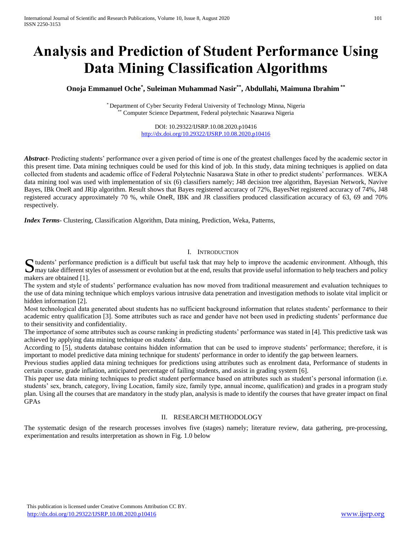# **Analysis and Prediction of Student Performance Using Data Mining Classification Algorithms**

# **Onoja Emmanuel Oche\* , Suleiman Muhammad Nasir\*\* , Abdullahi, Maimuna Ibrahim \*\***

\* Department of Cyber Security Federal University of Technology Minna, Nigeria Computer Science Department, Federal polytechnic Nasarawa Nigeria

> DOI: 10.29322/IJSRP.10.08.2020.p10416 <http://dx.doi.org/10.29322/IJSRP.10.08.2020.p10416>

*Abstract***-** Predicting students' performance over a given period of time is one of the greatest challenges faced by the academic sector in this present time. Data mining techniques could be used for this kind of job. In this study, data mining techniques is applied on data collected from students and academic office of Federal Polytechnic Nasarawa State in other to predict students' performances. WEKA data mining tool was used with implementation of six (6) classifiers namely; J48 decision tree algorithm, Bayesian Network, Navive Bayes, IBk OneR and JRip algorithm. Result shows that Bayes registered accuracy of 72%, BayesNet registered accuracy of 74%, J48 registered accuracy approximately 70 %, while OneR, IBK and JR classifiers produced classification accuracy of 63, 69 and 70% respectively.

*Index Terms*- Clustering, Classification Algorithm, Data mining, Prediction, Weka, Patterns,

## I. INTRODUCTION

Suddents' performance prediction is a difficult but useful task that may help to improve the academic environment. Although, this may take different styles of assessment or evolution but at the end, results that provide us  $\Box$  may take different styles of assessment or evolution but at the end, results that provide useful information to help teachers and policy makers are obtained [1].

The system and style of students' performance evaluation has now moved from traditional measurement and evaluation techniques to the use of data mining technique which employs various intrusive data penetration and investigation methods to isolate vital implicit or hidden information [2].

Most technological data generated about students has no sufficient background information that relates students' performance to their academic entry qualification [3]. Some attributes such as race and gender have not been used in predicting students' performance due to their sensitivity and confidentiality.

The importance of some attributes such as course ranking in predicting students' performance was stated in [4]. This predictive task was achieved by applying data mining technique on students' data.

According to [5], students database contains hidden information that can be used to improve students' performance; therefore, it is important to model predictive data mining technique for students' performance in order to identify the gap between learners.

Previous studies applied data mining techniques for predictions using attributes such as enrolment data, Performance of students in certain course, grade inflation, anticipated percentage of failing students, and assist in grading system [6].

This paper use data mining techniques to predict student performance based on attributes such as student's personal information (i.e. students' sex, branch, category, living Location, family size, family type, annual income, qualification) and grades in a program study plan. Using all the courses that are mandatory in the study plan, analysis is made to identify the courses that have greater impact on final GPAs

## II. RESEARCH METHODOLOGY

The systematic design of the research processes involves five (stages) namely; literature review, data gathering, pre-processing, experimentation and results interpretation as shown in Fig. 1.0 below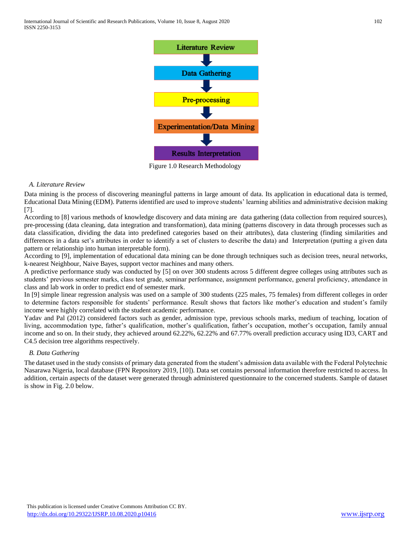

Figure 1.0 Research Methodology

## *A. Literature Review*

Data mining is the process of discovering meaningful patterns in large amount of data. Its application in educational data is termed, Educational Data Mining (EDM). Patterns identified are used to improve students' learning abilities and administrative decision making [7].

According to [8] various methods of knowledge discovery and data mining are data gathering (data collection from required sources), pre-processing (data cleaning, data integration and transformation), data mining (patterns discovery in data through processes such as data classification, dividing the data into predefined categories based on their attributes), data clustering (finding similarities and differences in a data set's attributes in order to identify a set of clusters to describe the data) and Interpretation (putting a given data pattern or relationship into human interpretable form).

According to [9], implementation of educational data mining can be done through techniques such as decision trees, neural networks, k-nearest Neighbour, Naive Bayes, support vector machines and many others.

A predictive performance study was conducted by [5] on over 300 students across 5 different degree colleges using attributes such as students' previous semester marks, class test grade, seminar performance, assignment performance, general proficiency, attendance in class and lab work in order to predict end of semester mark.

In [9] simple linear regression analysis was used on a sample of 300 students (225 males, 75 females) from different colleges in order to determine factors responsible for students' performance. Result shows that factors like mother's education and student's family income were highly correlated with the student academic performance.

Yadav and Pal (2012) considered factors such as gender, admission type, previous schools marks, medium of teaching, location of living, accommodation type, father's qualification, mother's qualification, father's occupation, mother's occupation, family annual income and so on. In their study, they achieved around 62.22%, 62.22% and 67.77% overall prediction accuracy using ID3, CART and C4.5 decision tree algorithms respectively.

# *B. Data Gathering*

The dataset used in the study consists of primary data generated from the student's admission data available with the Federal Polytechnic Nasarawa Nigeria, local database (FPN Repository 2019, [10]). Data set contains personal information therefore restricted to access. In addition, certain aspects of the dataset were generated through administered questionnaire to the concerned students. Sample of dataset is show in Fig. 2.0 below.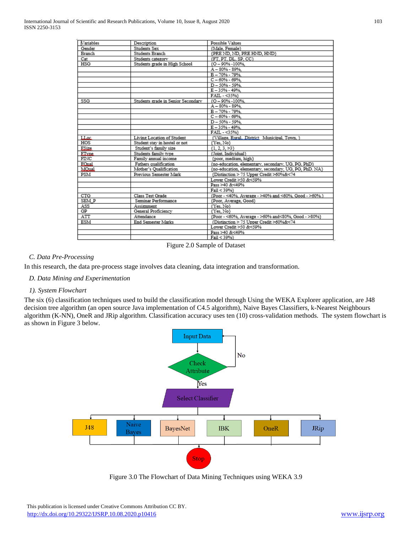| <b>Variables</b> | Description                        | Possible Values                                        |
|------------------|------------------------------------|--------------------------------------------------------|
| Gender           | Students Sex                       | {Male, Female}                                         |
| <b>Branch</b>    | Students Branch                    | {PRE ND, ND, PRE HND, HND}                             |
| Cat              | Students category                  | (FT. PT. DL. SP. CC)                                   |
| HSG              | Students grade in High School      | {O - 90% - 100%,                                       |
|                  |                                    | A-80% - 89%.                                           |
|                  |                                    | B-70%-79%                                              |
|                  |                                    | $C - 60% - 69%$                                        |
|                  |                                    | D-50%-59%                                              |
|                  |                                    | E-35%-49%                                              |
|                  |                                    | FAIL - < 35%}                                          |
| SSG              | Students grade in Senior Secondary | {O - 90% - 100%.                                       |
|                  |                                    | A-80%-89%                                              |
|                  |                                    | B-70%-79%                                              |
|                  |                                    | $C - 60% - 69%$                                        |
|                  |                                    | D-50%-59%                                              |
|                  |                                    | E-35%-49%                                              |
|                  |                                    | FAIL - <35%}                                           |
| LLoc             | Living Location of Student         | {Village, Rural, District Municipal, Town, }           |
| HOS              | Student stay in hostel or not      | {Yes, No}                                              |
| ESiz.            | Student's family size              | ${1, 2, 3, >3}$                                        |
| ET.ne            | Students family type               | (Joint, Individual)                                    |
| FINC             | Family annual income               | {poor, medium, high}                                   |
| EQual            | Fathers qualification              | {no-education, elementary, secondary, UG, PG, PhD}     |
| MOnal            | Mother's Qualification             | {no-education, elementary, secondary, UG, PG, PhD. NA} |
| PSM              | Previous Semester Mark             | {Distinction > 75 Upper Credit >60%&<74                |
|                  |                                    | Lower Credit >50 &<59%                                 |
|                  |                                    | Pass >40 &<49%                                         |
|                  |                                    | Fail < 39%}                                            |
| CTG              | Class Test Grade                   | {Poor - <40%. Average - >40% and <60%. Good - >60%.}   |
| SEM P            | Seminar Performance                | {Poor, Average, Good}                                  |
| ASS              | Assignment                         | {Yes, No}                                              |
| GP               | General Proficiency                | {Yes, No}                                              |
| ATT              | Attendance                         | {Poor - <60%, Average - >60% and<80%, Good - >80%}     |
| ESM              | End Semester Marks                 | {Distinction > 75 Upper Credit >60%&<74                |
|                  |                                    | Lower Credit >50 &<59%                                 |
|                  |                                    | Pass >40 &<49%                                         |
|                  |                                    | Fail < 39%}                                            |

Figure 2.0 Sample of Dataset

# *C. Data Pre-Processing*

In this research, the data pre-process stage involves data cleaning, data integration and transformation.

# *D. Data Mining and Experimentation*

## *1). System Flowchart*

The six (6) classification techniques used to build the classification model through Using the WEKA Explorer application, are J48 decision tree algorithm (an open source Java implementation of C4.5 algorithm), Naive Bayes Classifiers, k-Nearest Neighbours algorithm (K-NN), OneR and JRip algorithm. Classification accuracy uses ten (10) cross-validation methods. The system flowchart is as shown in Figure 3 below.



Figure 3.0 The Flowchart of Data Mining Techniques using WEKA 3.9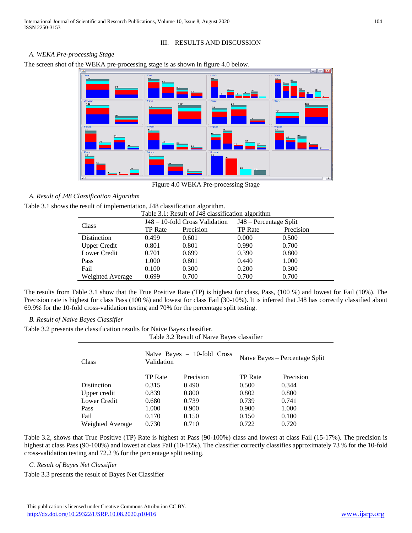# III. RESULTS AND DISCUSSION

## *A. WEKA Pre-processing Stage*

The screen shot of the WEKA pre-processing stage is as shown in figure 4.0 below.



Figure 4.0 WEKA Pre-processing Stage

# *A. Result of J48 Classification Algorithm*

Table 3.1 shows the result of implementation, J48 classification algorithm.

|                     |                | Table 3.1: Result of J48 classification algorithm |                        |           |
|---------------------|----------------|---------------------------------------------------|------------------------|-----------|
| Class               |                | J48 – 10-fold Cross Validation                    | J48 – Percentage Split |           |
|                     | <b>TP</b> Rate | Precision                                         | <b>TP</b> Rate         | Precision |
| Distinction         | 0.499          | 0.601                                             | 0.000                  | 0.500     |
| <b>Upper Credit</b> | 0.801          | 0.801                                             | 0.990                  | 0.700     |
| Lower Credit        | 0.701          | 0.699                                             | 0.390                  | 0.800     |
| Pass                | 1.000          | 0.801                                             | 0.440                  | 1.000     |
| Fail                | 0.100          | 0.300                                             | 0.200                  | 0.300     |
| Weighted Average    | 0.699          | 0.700                                             | 0.700                  | 0.700     |
|                     |                |                                                   |                        |           |

The results from Table 3.1 show that the True Positive Rate (TP) is highest for class, Pass, (100 %) and lowest for Fail (10%). The Precision rate is highest for class Pass (100 %) and lowest for class Fail (30-10%). It is inferred that J48 has correctly classified about 69.9% for the 10-fold cross-validation testing and 70% for the percentage split testing.

# *B. Result of Naive Bayes Classifier*

Table 3.2 presents the classification results for Naive Bayes classifier.

|                  |                | Table 3.2 Result of Naive Bayes classifier |                |                                |
|------------------|----------------|--------------------------------------------|----------------|--------------------------------|
| Class            | Validation     | Naïve Bayes $-10$ -fold Cross              |                | Naïve Bayes – Percentage Split |
|                  | <b>TP</b> Rate | Precision                                  | <b>TP</b> Rate | Precision                      |
| Distinction      | 0.315          | 0.490                                      | 0.500          | 0.344                          |
| Upper credit     | 0.839          | 0.800                                      | 0.802          | 0.800                          |
| Lower Credit     | 0.680          | 0.739                                      | 0.739          | 0.741                          |
| Pass             | 1.000          | 0.900                                      | 0.900          | 1.000                          |
| Fail             | 0.170          | 0.150                                      | 0.150          | 0.100                          |
| Weighted Average | 0.730          | 0.710                                      | 0.722          | 0.720                          |

Table 3.2, shows that True Positive (TP) Rate is highest at Pass (90-100%) class and lowest at class Fail (15-17%). The precision is highest at class Pass (90-100%) and lowest at class Fail (10-15%). The classifier correctly classifies approximately 73 % for the 10-fold cross-validation testing and 72.2 % for the percentage split testing.

# *C. Result of Bayes Net Classifier*

Table 3.3 presents the result of Bayes Net Classifier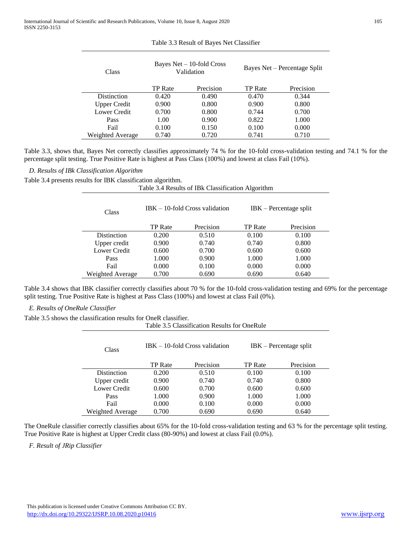| Class               |                | Bayes $Net - 10$ -fold Cross<br>Validation |                | Bayes Net – Percentage Split |
|---------------------|----------------|--------------------------------------------|----------------|------------------------------|
|                     | <b>TP</b> Rate | Precision                                  | <b>TP</b> Rate | Precision                    |
| Distinction         | 0.420          | 0.490                                      | 0.470          | 0.344                        |
| <b>Upper Credit</b> | 0.900          | 0.800                                      | 0.900          | 0.800                        |
| Lower Credit        | 0.700          | 0.800                                      | 0.744          | 0.700                        |
| Pass                | 1.00           | 0.900                                      | 0.822          | 1.000                        |
| Fail                | 0.100          | 0.150                                      | 0.100          | 0.000                        |
| Weighted Average    | 0.740          | 0.720                                      | 0.741          | 0.710                        |

## Table 3.3 Result of Bayes Net Classifier

Table 3.3, shows that, Bayes Net correctly classifies approximately 74 % for the 10-fold cross-validation testing and 74.1 % for the percentage split testing. True Positive Rate is highest at Pass Class (100%) and lowest at class Fail (10%).

Table 3.4 Results of IBk Classification Algorithm

*D. Results of IBk Classification Algorithm*

Table 3.4 presents results for IBK classification algorithm.

| Class            |                | $IBK - 10$ -fold Cross validation |                | $IBK$ – Percentage split |
|------------------|----------------|-----------------------------------|----------------|--------------------------|
|                  | <b>TP</b> Rate | Precision                         | <b>TP</b> Rate | Precision                |
| Distinction      | 0.200          | 0.510                             | 0.100          | 0.100                    |
| Upper credit     | 0.900          | 0.740                             | 0.740          | 0.800                    |
| Lower Credit     | 0.600          | 0.700                             | 0.600          | 0.600                    |
| Pass             | 1.000          | 0.900                             | 1.000          | 1.000                    |
| Fail             | 0.000          | 0.100                             | 0.000          | 0.000                    |
| Weighted Average | 0.700          | 0.690                             | 0.690          | 0.640                    |

Table 3.4 shows that IBK classifier correctly classifies about 70 % for the 10-fold cross-validation testing and 69% for the percentage split testing. True Positive Rate is highest at Pass Class (100%) and lowest at class Fail (0%).

*E. Results of OneRule Classifier*

Table 3.5 shows the classification results for OneR classifier.

|                    |                | Table 3.5 Classification Results for OneRule |                |                          |
|--------------------|----------------|----------------------------------------------|----------------|--------------------------|
| Class              |                | $IBK - 10$ -fold Cross validation            |                | $IBK$ – Percentage split |
|                    | <b>TP</b> Rate | Precision                                    | <b>TP</b> Rate | Precision                |
| <b>Distinction</b> | 0.200          | 0.510                                        | 0.100          | 0.100                    |
| Upper credit       | 0.900          | 0.740                                        | 0.740          | 0.800                    |
| Lower Credit       | 0.600          | 0.700                                        | 0.600          | 0.600                    |
| Pass               | 1.000          | 0.900                                        | 1.000          | 1.000                    |
| Fail               | 0.000          | 0.100                                        | 0.000          | 0.000                    |
| Weighted Average   | 0.700          | 0.690                                        | 0.690          | 0.640                    |

The OneRule classifier correctly classifies about 65% for the 10-fold cross-validation testing and 63 % for the percentage split testing. True Positive Rate is highest at Upper Credit class (80-90%) and lowest at class Fail (0.0%).

*F. Result of JRip Classifier*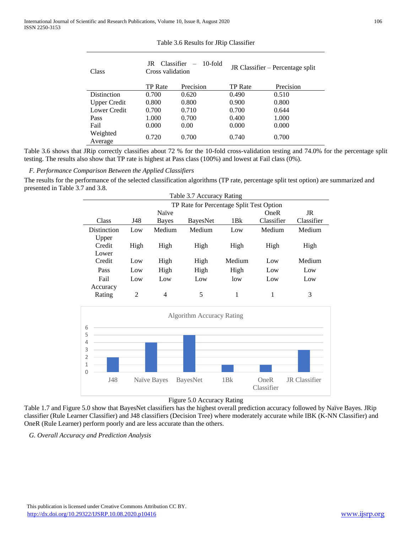| Class               | Classifier<br>JR<br>Cross validation | 10-fold   |                | JR Classifier – Percentage split |
|---------------------|--------------------------------------|-----------|----------------|----------------------------------|
|                     | <b>TP</b> Rate                       | Precision | <b>TP</b> Rate | Precision                        |
| Distinction         | 0.700                                | 0.620     | 0.490          | 0.510                            |
| <b>Upper Credit</b> | 0.800                                | 0.800     | 0.900          | 0.800                            |
| Lower Credit        | 0.700                                | 0.710     | 0.700          | 0.644                            |
| Pass                | 1.000                                | 0.700     | 0.400          | 1.000                            |
| Fail                | 0.000                                | 0.00      | 0.000          | 0.000                            |
| Weighted<br>Average | 0.720                                | 0.700     | 0.740          | 0.700                            |

#### Table 3.6 Results for JRip Classifier

Table 3.6 shows that JRip correctly classifies about 72 % for the 10-fold cross-validation testing and 74.0% for the percentage split testing. The results also show that TP rate is highest at Pass class (100%) and lowest at Fail class (0%).

*F. Performance Comparison Between the Applied Classifiers*

The results for the performance of the selected classification algorithms (TP rate, percentage split test option) are summarized and presented in Table 3.7 and 3.8.

|             |                |        | Table 3.7 Accuracy Rating                |        |             |            |
|-------------|----------------|--------|------------------------------------------|--------|-------------|------------|
|             |                |        | TP Rate for Percentage Split Test Option |        |             |            |
|             |                | Naïve  |                                          |        | <b>OneR</b> | JR         |
| Class       | J48            | Bayes  | <b>BayesNet</b>                          | 1Bk    | Classifier  | Classifier |
| Distinction | Low            | Medium | Medium                                   | Low    | Medium      | Medium     |
| Upper       |                |        |                                          |        |             |            |
| Credit      | High           | High   | High                                     | High   | High        | High       |
| Lower       |                |        |                                          |        |             |            |
| Credit      | Low            | High   | High                                     | Medium | Low         | Medium     |
| Pass        | Low            | High   | High                                     | High   | Low         | Low        |
| Fail        | Low            | Low    | Low                                      | low    | Low         | Low        |
| Accuracy    |                |        |                                          |        |             |            |
| Rating      | $\overline{2}$ | 4      | 5                                        |        |             | 3          |



## Figure 5.0 Accuracy Rating

Table 1.7 and Figure 5.0 show that BayesNet classifiers has the highest overall prediction accuracy followed by Naïve Bayes. JRip classifier (Rule Learner Classifier) and J48 classifiers (Decision Tree) where moderately accurate while IBK (K-NN Classifier) and OneR (Rule Learner) perform poorly and are less accurate than the others.

*G. Overall Accuracy and Prediction Analysis*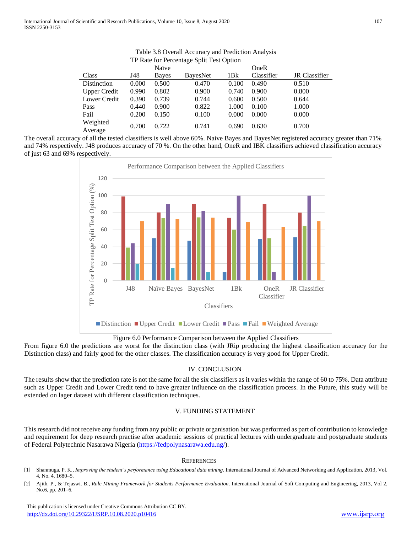|                     |       |       | Table 3.8 Overall Accuracy and Prediction Analysis |       |            |                      |
|---------------------|-------|-------|----------------------------------------------------|-------|------------|----------------------|
|                     |       |       | TP Rate for Percentage Split Test Option           |       |            |                      |
|                     |       | Naïve |                                                    |       | OneR       |                      |
| Class               | J48   | Bayes | <b>BayesNet</b>                                    | 1Bk   | Classifier | <b>JR</b> Classifier |
| Distinction         | 0.000 | 0.500 | 0.470                                              | 0.100 | 0.490      | 0.510                |
| <b>Upper Credit</b> | 0.990 | 0.802 | 0.900                                              | 0.740 | 0.900      | 0.800                |
| Lower Credit        | 0.390 | 0.739 | 0.744                                              | 0.600 | 0.500      | 0.644                |
| Pass                | 0.440 | 0.900 | 0.822                                              | 1.000 | 0.100      | 1.000                |
| Fail                | 0.200 | 0.150 | 0.100                                              | 0.000 | 0.000      | 0.000                |
| Weighted<br>Average | 0.700 | 0.722 | 0.741                                              | 0.690 | 0.630      | 0.700                |

|--|

The overall accuracy of all the tested classifiers is well above 60%. Naive Bayes and BayesNet registered accuracy greater than 71% and 74% respectively. J48 produces accuracy of 70 %. On the other hand, OneR and IBK classifiers achieved classification accuracy of just 63 and 69% respectively.



Figure 6.0 Performance Comparison between the Applied Classifiers

From figure 6.0 the predictions are worst for the distinction class (with JRip producing the highest classification accuracy for the Distinction class) and fairly good for the other classes. The classification accuracy is very good for Upper Credit.

## IV. CONCLUSION

The results show that the prediction rate is not the same for all the six classifiers as it varies within the range of 60 to 75%. Data attribute such as Upper Credit and Lower Credit tend to have greater influence on the classification process. In the Future, this study will be extended on lager dataset with different classification techniques.

## V. FUNDING STATEMENT

This research did not receive any funding from any public or private organisation but was performed as part of contribution to knowledge and requirement for deep research practise after academic sessions of practical lectures with undergraduate and postgraduate students of Federal Polytechnic Nasarawa Nigeria [\(https://fedpolynasarawa.edu.ng/\)](https://fedpolynasarawa.edu.ng/).

#### **REFERENCES**

- [1] Shanmuga, P. K., *Improving the student's performance using Educational data mining*. International Journal of Advanced Networking and Application, 2013, Vol. 4, No. 4, 1680–5.
- [2] Ajith, P., & Tejaswi. B., *Rule Mining Framework for Students Performance Evaluation*. International Journal of Soft Computing and Engineering, 2013, Vol 2, No.6, pp. 201–6.

 This publication is licensed under Creative Commons Attribution CC BY. <http://dx.doi.org/10.29322/IJSRP.10.08.2020.p10416> [www.ijsrp.org](http://ijsrp.org/)